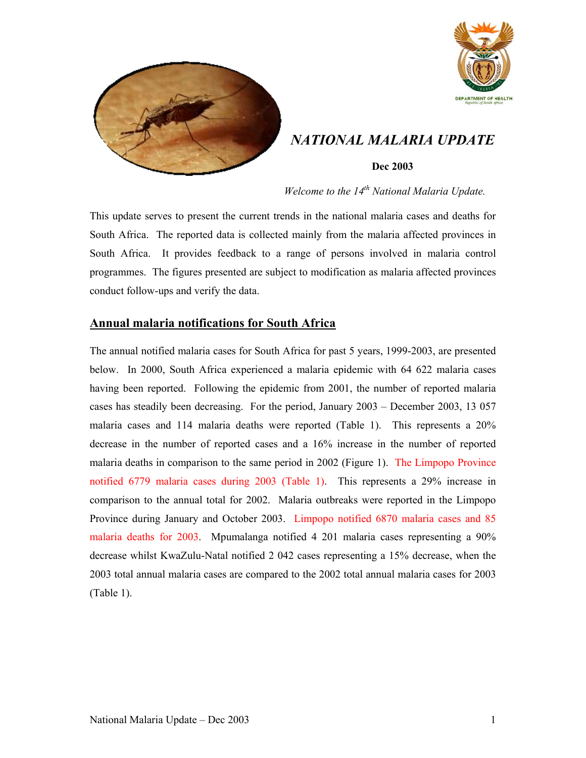



*NATIONAL MALARIA UPDATE* 

## **Dec 2003**

*Welcome to the 14<sup>th</sup> National Malaria Update.* 

This update serves to present the current trends in the national malaria cases and deaths for South Africa. The reported data is collected mainly from the malaria affected provinces in South Africa. It provides feedback to a range of persons involved in malaria control programmes. The figures presented are subject to modification as malaria affected provinces conduct follow-ups and verify the data.

# **Annual malaria notifications for South Africa**

The annual notified malaria cases for South Africa for past 5 years, 1999-2003, are presented below. In 2000, South Africa experienced a malaria epidemic with 64 622 malaria cases having been reported. Following the epidemic from 2001, the number of reported malaria cases has steadily been decreasing. For the period, January 2003 – December 2003, 13 057 malaria cases and 114 malaria deaths were reported (Table 1). This represents a 20% decrease in the number of reported cases and a 16% increase in the number of reported malaria deaths in comparison to the same period in 2002 (Figure 1). The Limpopo Province notified 6779 malaria cases during 2003 (Table 1). This represents a 29% increase in comparison to the annual total for 2002. Malaria outbreaks were reported in the Limpopo Province during January and October 2003. Limpopo notified 6870 malaria cases and 85 malaria deaths for 2003. Mpumalanga notified 4 201 malaria cases representing a 90% decrease whilst KwaZulu-Natal notified 2 042 cases representing a 15% decrease, when the 2003 total annual malaria cases are compared to the 2002 total annual malaria cases for 2003 (Table 1).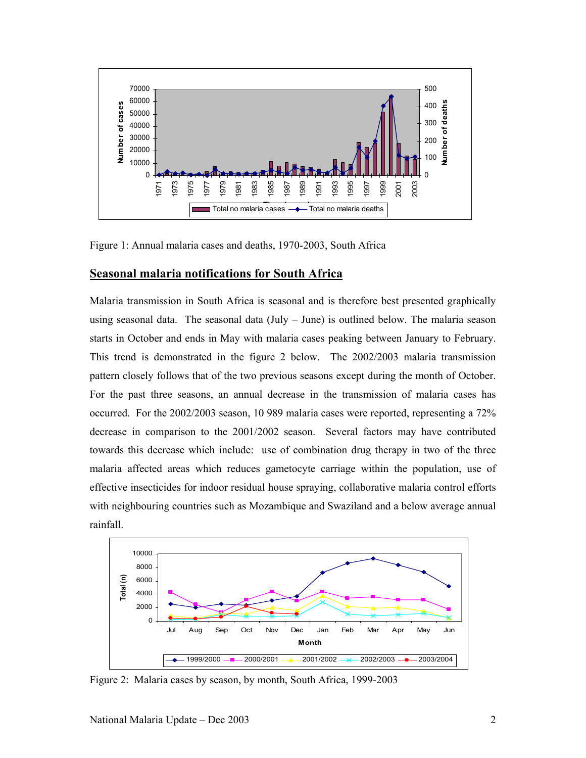

Figure 1: Annual malaria cases and deaths, 1970-2003, South Africa

### **Seasonal malaria notifications for South Africa**

Malaria transmission in South Africa is seasonal and is therefore best presented graphically using seasonal data. The seasonal data (July – June) is outlined below. The malaria season starts in October and ends in May with malaria cases peaking between January to February. This trend is demonstrated in the figure 2 below. The 2002/2003 malaria transmission pattern closely follows that of the two previous seasons except during the month of October. For the past three seasons, an annual decrease in the transmission of malaria cases has occurred. For the 2002/2003 season, 10 989 malaria cases were reported, representing a 72% decrease in comparison to the 2001/2002 season. Several factors may have contributed towards this decrease which include: use of combination drug therapy in two of the three malaria affected areas which reduces gametocyte carriage within the population, use of effective insecticides for indoor residual house spraying, collaborative malaria control efforts with neighbouring countries such as Mozambique and Swaziland and a below average annual rainfall.



Figure 2: Malaria cases by season, by month, South Africa, 1999-2003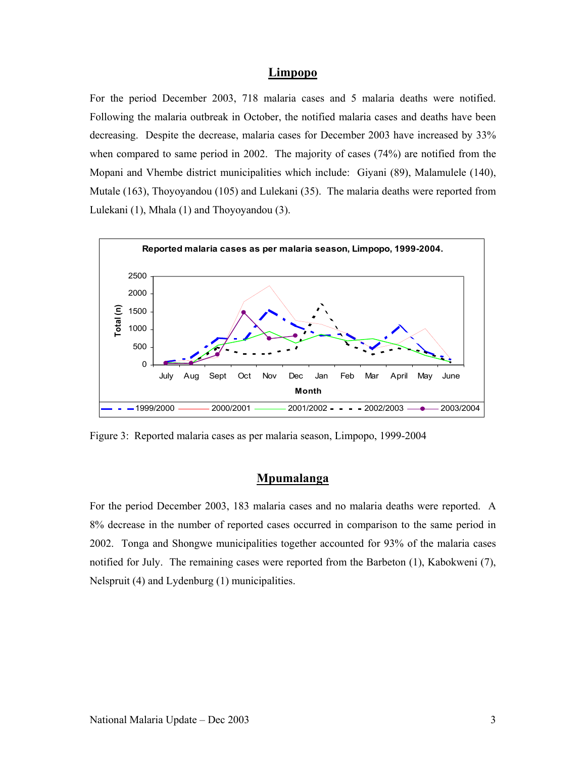#### **Limpopo**

For the period December 2003, 718 malaria cases and 5 malaria deaths were notified. Following the malaria outbreak in October, the notified malaria cases and deaths have been decreasing. Despite the decrease, malaria cases for December 2003 have increased by 33% when compared to same period in 2002. The majority of cases (74%) are notified from the Mopani and Vhembe district municipalities which include: Giyani (89), Malamulele (140), Mutale (163), Thoyoyandou (105) and Lulekani (35). The malaria deaths were reported from Lulekani (1), Mhala (1) and Thoyoyandou (3).



Figure 3: Reported malaria cases as per malaria season, Limpopo, 1999-2004

#### **Mpumalanga**

For the period December 2003, 183 malaria cases and no malaria deaths were reported. A 8% decrease in the number of reported cases occurred in comparison to the same period in 2002. Tonga and Shongwe municipalities together accounted for 93% of the malaria cases notified for July. The remaining cases were reported from the Barbeton (1), Kabokweni (7), Nelspruit (4) and Lydenburg (1) municipalities.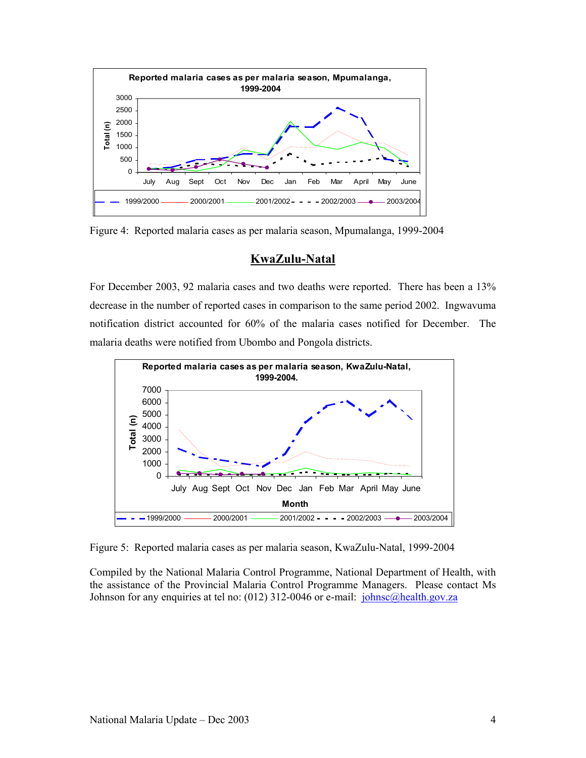

Figure 4: Reported malaria cases as per malaria season, Mpumalanga, 1999-2004

## **KwaZulu-Natal**

For December 2003, 92 malaria cases and two deaths were reported. There has been a 13% decrease in the number of reported cases in comparison to the same period 2002. Ingwavuma notification district accounted for 60% of the malaria cases notified for December. The malaria deaths were notified from Ubombo and Pongola districts.



Figure 5: Reported malaria cases as per malaria season, KwaZulu-Natal, 1999-2004

Compiled by the National Malaria Control Programme, National Department of Health, with the assistance of the Provincial Malaria Control Programme Managers. Please contact Ms Johnson for any enquiries at tel no: (012) 312-0046 or e-mail: johnsc@health.gov.za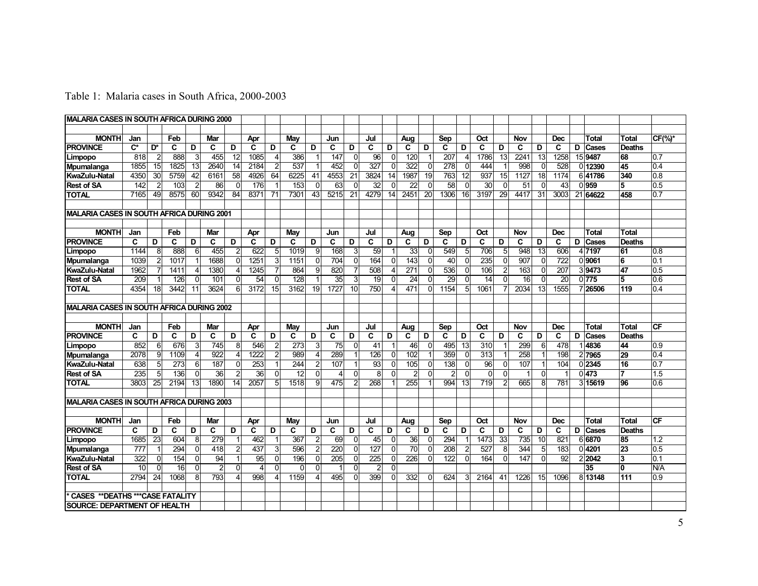|  |  | Table 1: Malaria cases in South Africa, 2000-2003 |
|--|--|---------------------------------------------------|
|  |  |                                                   |

| <b>MALARIA CASES IN SOUTH AFRICA DURING 2000</b> |                  |                 |                  |                |                 |                         |                   |                |                 |                 |      |              |                |                |                  |                 |      |                         |                  |                 |      |                 |                  |   |                 |               |                  |
|--------------------------------------------------|------------------|-----------------|------------------|----------------|-----------------|-------------------------|-------------------|----------------|-----------------|-----------------|------|--------------|----------------|----------------|------------------|-----------------|------|-------------------------|------------------|-----------------|------|-----------------|------------------|---|-----------------|---------------|------------------|
|                                                  |                  |                 |                  |                |                 |                         |                   |                |                 |                 |      |              |                |                |                  |                 |      |                         |                  |                 |      |                 |                  |   |                 |               |                  |
| <b>MONTH</b>                                     | Jan              |                 | Feb              |                | Mar             |                         | Apr               |                | Mav             |                 | Jun  |              | Jul            |                | Aug              |                 | Sep  |                         | Oct              |                 | Nov  |                 | <b>Dec</b>       |   | Total           | <b>Total</b>  | $CF(\%)^*$       |
| <b>PROVINCE</b>                                  | $C^*$            | D*              | $\mathbf{C}$     | D              | C               | D                       | C                 | D              | C               | D               | C    | D            | C.             | D              | C                | D               | C    | D                       | C                | D               | C    | D               | C                | D | Cases           | <b>Deaths</b> |                  |
| Limpopo                                          | 818              | $\overline{2}$  | 888              | $\overline{3}$ | 455             | 12                      | 1085              | $\overline{4}$ | 386             | $\mathbf{1}$    | 147  | $\Omega$     | 96             | 0              | 120              |                 | 207  | $\overline{4}$          | 1786             | 13              | 2241 | $\overline{13}$ | 1258             |   | 15 9487         | 68            | $\overline{0.7}$ |
| Mpumalanga                                       | 1855             | $\overline{15}$ | 1825             | 13             | 2640            | 14                      | 2184              | $\overline{2}$ | 537             | $\mathbf{1}$    | 452  | $\Omega$     | 327            | $\Omega$       | $\overline{322}$ | $\Omega$        | 278  | $\Omega$                | 444              |                 | 998  | $\Omega$        | 528              |   | 0 12390         | 45            | 0.4              |
| KwaZulu-Natal                                    | 4350             | 30              | 5759             | 42             | 6161            | 58                      | 4926              | 64             | 6225            | 41              | 4553 | 21           | 3824           | 14             | 1987             | 19              | 763  | 12                      | 937              | 15              | 1127 | 18              | 1174             |   | 641786          | 340           | 0.8              |
| <b>Rest of SA</b>                                | $\overline{142}$ | $\overline{2}$  | 103              | $\overline{2}$ | 86              | $\Omega$                | 176               |                | 153             | $\Omega$        | 63   | $\Omega$     | 32             | $\Omega$       | 22               | $\mathbf{0}$    | 58   | $\Omega$                | 30               | $\Omega$        | 51   | $\Omega$        | 43               |   | 0 959           | 5             | $\overline{0.5}$ |
| <b>TOTAL</b>                                     | 7165             | 49              | 8575             | 60             | 9342            | 84                      | 8371              | 71             | 7301            | $\overline{43}$ | 5215 | 21           | 4279           | 14             | 2451             | $\overline{20}$ | 1306 | 16                      | 3197             | $\overline{29}$ | 4417 | 31              | 3003             |   | 21 64622        | 458           | 0.7              |
|                                                  |                  |                 |                  |                |                 |                         |                   |                |                 |                 |      |              |                |                |                  |                 |      |                         |                  |                 |      |                 |                  |   |                 |               |                  |
| <b>MALARIA CASES IN SOUTH AFRICA DURING 2001</b> |                  |                 |                  |                |                 |                         |                   |                |                 |                 |      |              |                |                |                  |                 |      |                         |                  |                 |      |                 |                  |   |                 |               |                  |
|                                                  |                  |                 |                  |                |                 |                         |                   |                |                 |                 |      |              |                |                |                  |                 |      |                         |                  |                 |      |                 |                  |   |                 |               |                  |
| <b>MONTH</b>                                     | Jan              |                 | Feb              |                | Mar             |                         | Apr               |                | May             |                 | Jun  |              | Jul            |                | Aug              |                 | Sep  |                         | Oct              |                 | Nov  |                 | <b>Dec</b>       |   | <b>Total</b>    | Total         |                  |
| <b>PROVINCE</b>                                  | C                | D               | C                | D              | C               | D                       | C                 | D              | C               | D               | C    | D            | C              | D              | C                | D               | C    | D                       | C                | D               | C    | D               | C                |   | D Cases         | <b>Deaths</b> |                  |
| Limpopo                                          | 1144             | 8               | 888              | $6 \mid$       | 455             | $\overline{2}$          | 622               | 5              | 1019            | 9               | 168  | 3            | 59             |                | 33               | 0               | 549  | 5                       | 706              | 5               | 948  | $\overline{13}$ | 606              |   | 4 7197          | 61            | 10.8             |
| Mpumalanga                                       | 1039             | $\overline{2}$  | 1017             |                | 1688            | $\Omega$                | 1251              | 3              | 1151            | $\Omega$        | 704  | $\mathbf{0}$ | 164            | $\Omega$       | 143              | $\Omega$        | 40   | $\Omega$                | $\overline{235}$ | $\overline{0}$  | 907  | $\Omega$        | $\overline{722}$ |   | 0 9061          | 6             | 10.1             |
| <b>KwaZulu-Natal</b>                             | 1962             |                 | 1411             |                | 1380            | 4                       | 1245              |                | 864             | 9               | 820  |              | 508            | $\overline{4}$ | $\overline{271}$ | 0               | 536  | $\Omega$                | 106              | 2               | 163  | $\mathbf 0$     | 207              |   | 39473           | 47            | 0.5              |
| <b>Rest of SA</b>                                | 209              |                 | 126              | U              | 101             | $\Omega$                | 54                | 0              | 128             |                 | 35   | 3            | 19             | $\Omega$       | 24               | Ωl              | 29   | 0                       | 14               | $\overline{0}$  | 16   | $\Omega$        | 20               |   | 0 775           | 5             | 0.6              |
| <b>TOTAL</b>                                     | 4354             | $\overline{18}$ | 3442             | 11             | 3624            | 6 <sup>1</sup>          | 3172              | 15             | 3162            | 19              | 1727 | 10           | 750            | $\overline{4}$ | 471              | $\Omega$        | 1154 | 5                       | 1061             |                 | 2034 | $\overline{13}$ | 1555             |   | 7 26506         | 119           | 0.4              |
|                                                  |                  |                 |                  |                |                 |                         |                   |                |                 |                 |      |              |                |                |                  |                 |      |                         |                  |                 |      |                 |                  |   |                 |               |                  |
| MALARIA CASES IN SOUTH AFRICA DURING 2002        |                  |                 |                  |                |                 |                         |                   |                |                 |                 |      |              |                |                |                  |                 |      |                         |                  |                 |      |                 |                  |   |                 |               |                  |
|                                                  |                  |                 |                  |                |                 |                         |                   |                |                 |                 |      |              |                |                |                  |                 |      |                         |                  |                 |      |                 |                  |   |                 |               |                  |
| <b>MONTH</b>                                     | Jan              |                 | Feb              |                | Mar             |                         | Apr               |                | Mav             |                 | Jun  |              | Jul            |                | Aug              |                 | Sep  |                         | Oct              |                 | Nov  |                 | <b>Dec</b>       |   | Total           | Total         | CF               |
| <b>PROVINCE</b>                                  | C                | D               | C                | D              | C               | D                       | C                 | D              | C               | D               | C    | D            | C              | D              | C                | D               | C    | D                       | C                | D               | C    | D               | C                | D | Cases           | <b>Deaths</b> |                  |
| Limpopo                                          | 852              | $6 \mid$        | 676              | 3              | 745             | 8 <sup>1</sup>          | 546               | $\overline{2}$ | 273             | 3               | 75   | $\Omega$     | 41             |                | 46               | $\Omega$        | 495  | 13                      | 310              |                 | 299  | 6               | 478              |   | 4836            | 44            | 0.9              |
| Mpumalanga                                       | 2078             | $\overline{9}$  | 1109             | 4              | 922             | $\overline{\mathbf{A}}$ | $\overline{1222}$ |                | 989             | $\overline{4}$  | 289  | 1            | 126            | $\Omega$       | 102              |                 | 359  | $\Omega$                | $\overline{313}$ |                 | 258  |                 | 198              |   | 2 7965          | 29            | 0.4              |
| KwaZulu-Natal                                    | 638              | 5               | $\overline{273}$ | 6              | 187             | $\Omega$                | 253               |                | 244             | $\overline{2}$  | 107  |              | 93             | $\Omega$       | 105              | 0               | 138  | $\Omega$                | $\overline{96}$  | $\overline{0}$  | 107  |                 | 104              |   | 0 2345          | 16            | 0.7              |
| <b>Rest of SA</b>                                | $\overline{235}$ | 5 <sup>1</sup>  | 136              | $\Omega$       | $\overline{36}$ | $\overline{2}$          | 36                | $\Omega$       | $\overline{12}$ | $\Omega$        | 4    | $\Omega$     | 8              | $\Omega$       | $\overline{2}$   | $\Omega$        |      | $\Omega$                | $\Omega$         | $\overline{0}$  |      | $\Omega$        |                  |   | 0 473           | 7             | 1.5              |
| <b>TOTAL</b>                                     | 3803             | 25              | 2194             | 13             | 1890            | 14                      | 2057              | 5              | 1518            | 9               | 475  | 2            | 268            |                | 255              |                 | 994  | 13                      | 719              | $\overline{2}$  | 665  | 8               | 781              |   | 3 15619         | 96            | 0.6              |
|                                                  |                  |                 |                  |                |                 |                         |                   |                |                 |                 |      |              |                |                |                  |                 |      |                         |                  |                 |      |                 |                  |   |                 |               |                  |
| <b>MALARIA CASES IN SOUTH AFRICA DURING 2003</b> |                  |                 |                  |                |                 |                         |                   |                |                 |                 |      |              |                |                |                  |                 |      |                         |                  |                 |      |                 |                  |   |                 |               |                  |
|                                                  |                  |                 |                  |                |                 |                         |                   |                |                 |                 |      |              |                |                |                  |                 |      |                         |                  |                 |      |                 |                  |   |                 |               |                  |
| <b>MONTH</b>                                     | Jan              |                 | Feb              |                | Mar             |                         | Apr               |                | May             |                 | Jun  |              | Jul            |                | Aug              |                 | Sep  |                         | Oct              |                 | Nov  |                 | <b>Dec</b>       |   | <b>Total</b>    | <b>Total</b>  | <b>CF</b>        |
| <b>PROVINCE</b>                                  | C                | D               | C                | D              | C               | D                       | C                 | D              | C               | D               | C    | D            | C.             | D              | C.               | D               | C    | D                       | C                | D               | C    | D               | C                | D | Cases           | Deaths        |                  |
| Limpopo                                          | 1685             | $\overline{23}$ | 604              | 8 <sup>1</sup> | 279             |                         | 462               |                | 367             | $\overline{2}$  | 69   | $\Omega$     | 45             | $\mathbf{0}$   | 36               | $\Omega$        | 294  | $\overline{\mathbf{1}}$ | 1473             | 33              | 735  | 10              | 821              |   | 6 6870          | 85            | 1.2              |
| Mpumalanga                                       | 777              |                 | 294              | 0              | 418             | $\overline{2}$          | 437               | 3              | 596             | $\overline{2}$  | 220  | 0            | 127            | $\Omega$       | $\overline{70}$  | 0               | 208  | $\overline{2}$          | 527              | 8               | 344  | 5               | 183              |   | 0 4201          | 23            | 0.5              |
| <b>KwaZulu-Natal</b>                             | 322              | $\Omega$        | 154              | $\Omega$       | 94              |                         | 95                | $\mathbf{0}$   | 196             | $\Omega$        | 205  | $\mathbf 0$  | 225            | $\Omega$       | 226              | $\Omega$        | 122  | $\Omega$                | 164              | $\Omega$        | 147  | $\Omega$        | 92               |   | 2 2042          | 3             | 0.1              |
| <b>Rest of SA</b>                                | 10               | $\overline{0}$  | 16               | $\Omega$       | $\overline{2}$  | $\Omega$                | $\Delta$          | $\Omega$       | $\Omega$        | $\Omega$        |      | $\Omega$     | $\overline{c}$ | $\Omega$       |                  |                 |      |                         |                  |                 |      |                 |                  |   | $\overline{35}$ | $\mathbf{0}$  | N/A              |
| <b>TOTAL</b>                                     | 2794             | 24              | 1068             | 8              | 793             | $\overline{4}$          | 998               | $\overline{4}$ | 1159            | $\overline{4}$  | 495  | $\mathbf{0}$ | 399            | $\Omega$       | 332              | $\Omega$        | 624  | 3                       | 2164             | 41              | 1226 | 15              | 1096             |   | 8 13148         | 111           | 0.9              |
|                                                  |                  |                 |                  |                |                 |                         |                   |                |                 |                 |      |              |                |                |                  |                 |      |                         |                  |                 |      |                 |                  |   |                 |               |                  |
| <b>CASES ** DEATHS *** CASE FATALITY</b>         |                  |                 |                  |                |                 |                         |                   |                |                 |                 |      |              |                |                |                  |                 |      |                         |                  |                 |      |                 |                  |   |                 |               |                  |
| <b>SOURCE: DEPARTMENT OF HEALTH</b>              |                  |                 |                  |                |                 |                         |                   |                |                 |                 |      |              |                |                |                  |                 |      |                         |                  |                 |      |                 |                  |   |                 |               |                  |